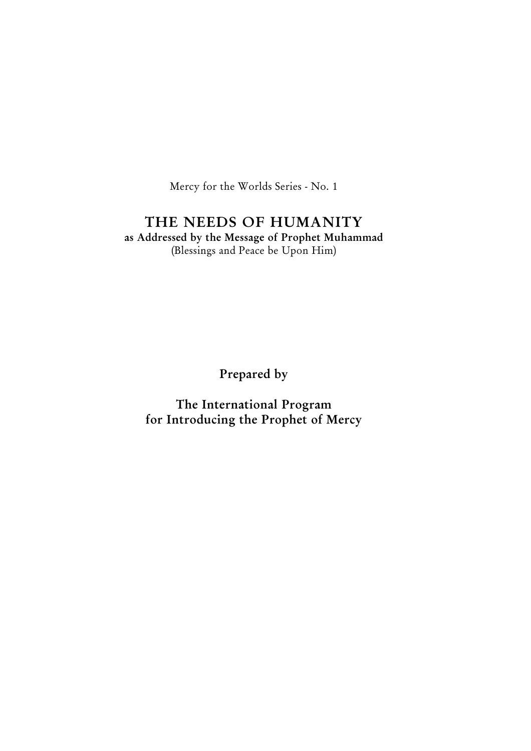Mercy for the Worlds Series - No. 1

# THE NEEDS OF HUMANITY

as Addressed by the Message of Prophet Muhammad (Blessings and Peace be Upon Him)

Prepared by

The International Program for Introducing the Prophet of Mercy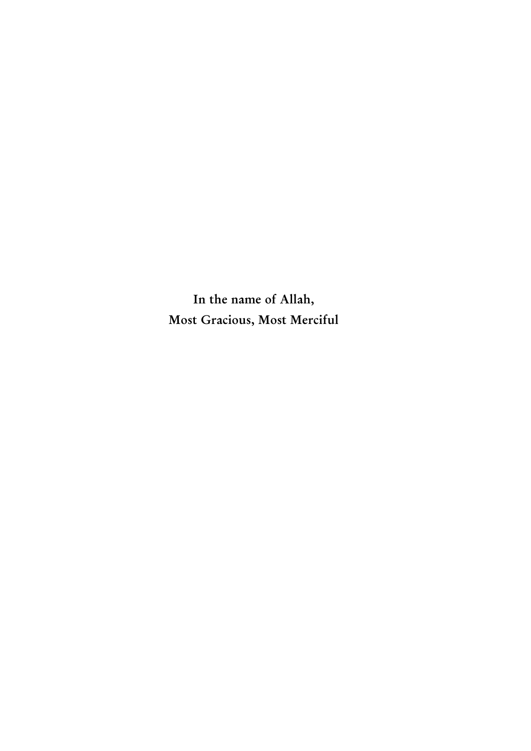In the name of Allah, Most Gracious, Most Merciful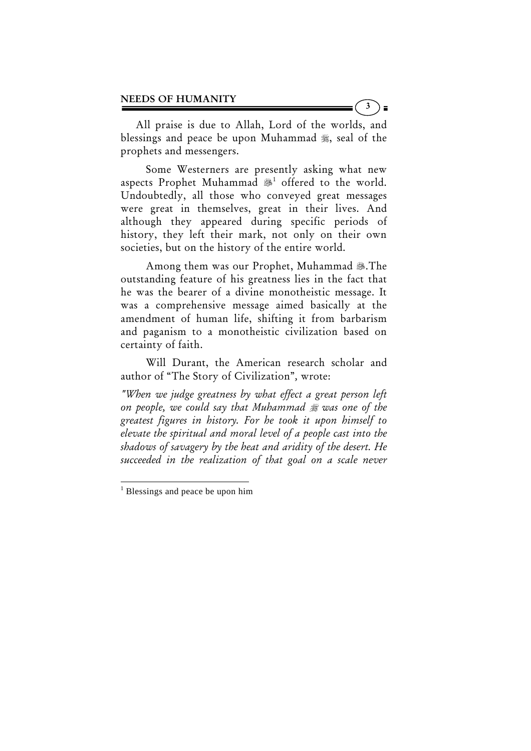All praise is due to Allah, Lord of the worlds, and blessings and peace be upon Muhammad  $\frac{1}{20}$ , seal of the prophets and messengers.

 Some Westerners are presently asking what new aspects Prophet Muhammad  $*$  offered to the world. Undoubtedly, all those who conveyed great messages were great in themselves, great in their lives. And although they appeared during specific periods of history, they left their mark, not only on their own societies, but on the history of the entire world.

Among them was our Prophet, Muhammad .The outstanding feature of his greatness lies in the fact that he was the bearer of a divine monotheistic message. It was a comprehensive message aimed basically at the amendment of human life, shifting it from barbarism and paganism to a monotheistic civilization based on certainty of faith.

 Will Durant, the American research scholar and author of "The Story of Civilization"*,* wrote:

*"When we judge greatness by what effect a great person left on people, we could say that Muhammad was one of the greatest figures in history. For he took it upon himself to elevate the spiritual and moral level of a people cast into the shadows of savagery by the heat and aridity of the desert. He succeeded in the realization of that goal on a scale never* 

3  $\bar{\phantom{a}}$ 

<sup>&</sup>lt;sup>1</sup> Blessings and peace be upon him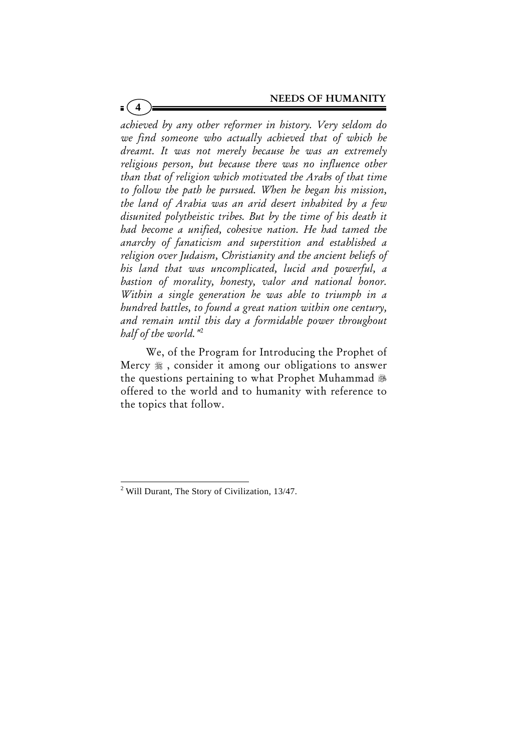*achieved by any other reformer in history. Very seldom do we find someone who actually achieved that of which he dreamt. It was not merely because he was an extremely religious person, but because there was no influence other than that of religion which motivated the Arabs of that time to follow the path he pursued. When he began his mission, the land of Arabia was an arid desert inhabited by a few disunited polytheistic tribes. But by the time of his death it had become a unified, cohesive nation. He had tamed the anarchy of fanaticism and superstition and established a religion over Judaism, Christianity and the ancient beliefs of his land that was uncomplicated, lucid and powerful, a bastion of morality, honesty, valor and national honor. Within a single generation he was able to triumph in a hundred battles, to found a great nation within one century, and remain until this day a formidable power throughout half of the world."*<sup>2</sup>

**4**

 We, of the Program for Introducing the Prophet of Mercy  $\frac{4}{36}$ , consider it among our obligations to answer the questions pertaining to what Prophet Muhammad offered to the world and to humanity with reference to the topics that follow.

<sup>&</sup>lt;sup>2</sup> Will Durant, The Story of Civilization, 13/47.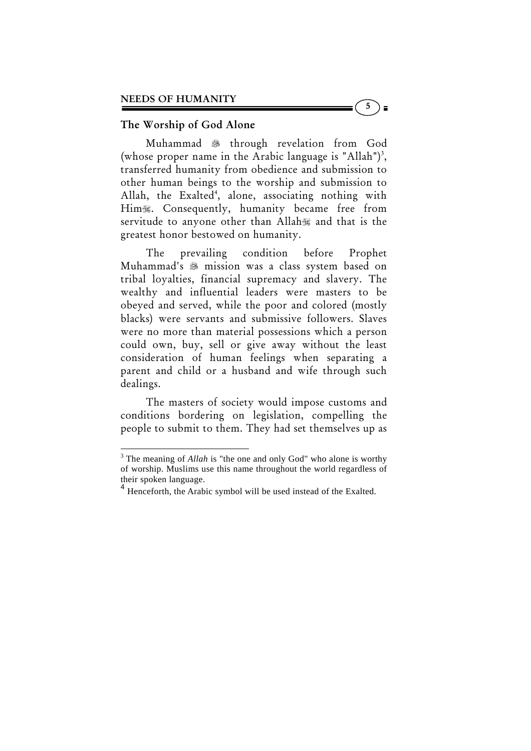# The Worship of God Alone

Muhammad  $*$  through revelation from God (whose proper name in the Arabic language is "Allah")<sup>3</sup>, transferred humanity from obedience and submission to other human beings to the worship and submission to Allah, the Exalted<sup>4</sup>, alone, associating nothing with Him. Consequently, humanity became free from servitude to anyone other than Allah and that is the greatest honor bestowed on humanity.

 The prevailing condition before Prophet Muhammad's mission was a class system based on tribal loyalties, financial supremacy and slavery. The wealthy and influential leaders were masters to be obeyed and served, while the poor and colored (mostly blacks) were servants and submissive followers. Slaves were no more than material possessions which a person could own, buy, sell or give away without the least consideration of human feelings when separating a parent and child or a husband and wife through such dealings.

 The masters of society would impose customs and conditions bordering on legislation, compelling the people to submit to them. They had set themselves up as

<sup>&</sup>lt;sup>3</sup> The meaning of *Allah* is "the one and only God" who alone is worthy of worship. Muslims use this name throughout the world regardless of their spoken language.

<sup>&</sup>lt;sup>4</sup> Henceforth, the Arabic symbol will be used instead of the Exalted.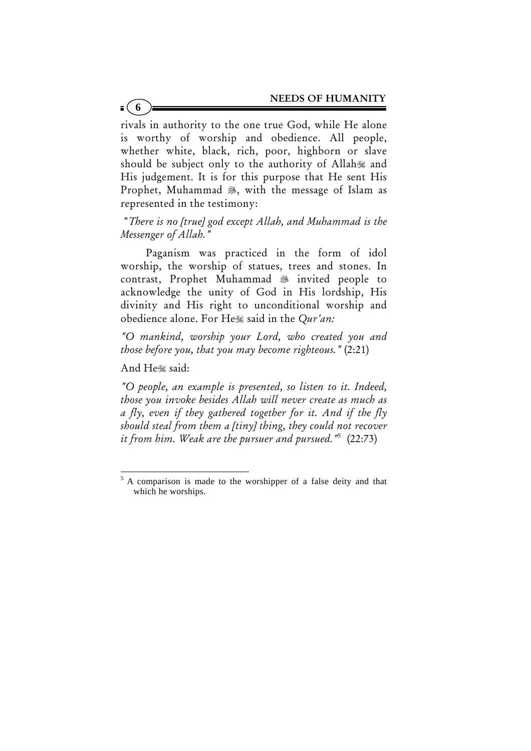rivals in authority to the one true God, while He alone is worthy of worship and obedience. All people, whether white, black, rich, poor, highborn or slave should be subject only to the authority of Allah and His judgement. It is for this purpose that He sent His Prophet, Muhammad , with the message of Islam as represented in the testimony:

 "*There is no [true] god except Allah, and Muhammad is the Messenger of Allah."* 

 Paganism was practiced in the form of idol worship, the worship of statues, trees and stones. In contrast, Prophet Muhammad 3 invited people to acknowledge the unity of God in His lordship, His divinity and His right to unconditional worship and obedience alone. For He, said in the *Qur'an*:

*"O mankind, worship your Lord, who created you and those before you, that you may become righteous."* (2:21)

And He said:

*"O people, an example is presented, so listen to it. Indeed, those you invoke besides Allah will never create as much as a fly, even if they gathered together for it. And if the fly should steal from them a [tiny] thing, they could not recover it from him. Weak are the pursuer and pursued."*<sup>5</sup> (22:73)

 $5$  A comparison is made to the worshipper of a false deity and that which he worships.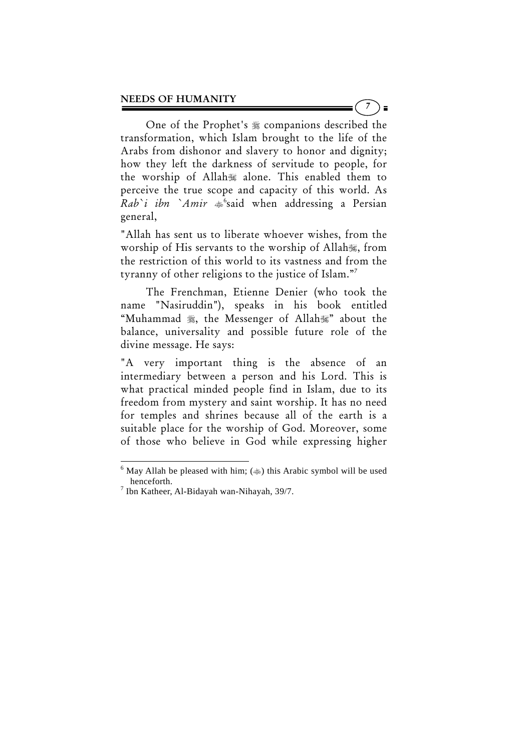One of the Prophet's  $*$  companions described the transformation, which Islam brought to the life of the Arabs from dishonor and slavery to honor and dignity; how they left the darkness of servitude to people, for the worship of Allah alone. This enabled them to perceive the true scope and capacity of this world. As Rab`i ibn `Amir  $\frac{1}{2}$ <sup>6</sup>said when addressing a Persian general,

"Allah has sent us to liberate whoever wishes, from the worship of His servants to the worship of Allah, from the restriction of this world to its vastness and from the tyranny of other religions to the justice of Islam."7

 The Frenchman, Etienne Denier (who took the name "Nasiruddin"), speaks in his book entitled "Muhammad , the Messenger of Allah," about the balance, universality and possible future role of the divine message. He says:

"A very important thing is the absence of an intermediary between a person and his Lord. This is what practical minded people find in Islam, due to its freedom from mystery and saint worship. It has no need for temples and shrines because all of the earth is a suitable place for the worship of God. Moreover, some of those who believe in God while expressing higher

 $\overline{a}$ 

7  $\blacksquare$ 

<sup>&</sup>lt;sup>6</sup> May Allah be pleased with him; ( $\gg$ ) this Arabic symbol will be used henceforth.

<sup>7</sup> Ibn Katheer, Al-Bidayah wan-Nihayah, 39/7.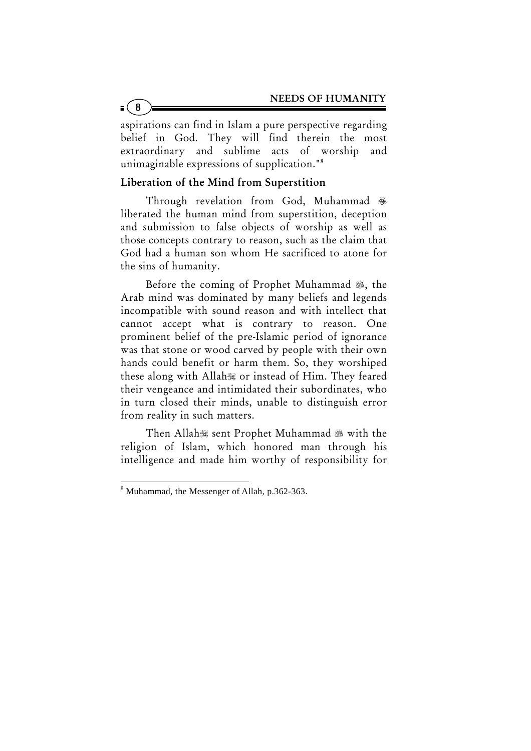aspirations can find in Islam a pure perspective regarding belief in God. They will find therein the most extraordinary and sublime acts of worship and unimaginable expressions of supplication."8

## Liberation of the Mind from Superstition

 Through revelation from God, Muhammad liberated the human mind from superstition, deception and submission to false objects of worship as well as those concepts contrary to reason, such as the claim that God had a human son whom He sacrificed to atone for the sins of humanity.

Before the coming of Prophet Muhammad . the Arab mind was dominated by many beliefs and legends incompatible with sound reason and with intellect that cannot accept what is contrary to reason. One prominent belief of the pre-Islamic period of ignorance was that stone or wood carved by people with their own hands could benefit or harm them. So, they worshiped these along with Allah or instead of Him. They feared their vengeance and intimidated their subordinates, who in turn closed their minds, unable to distinguish error from reality in such matters.

Then Allah sent Prophet Muhammad & with the religion of Islam, which honored man through his intelligence and made him worthy of responsibility for

**8**

<sup>8</sup> Muhammad, the Messenger of Allah, p.362-363.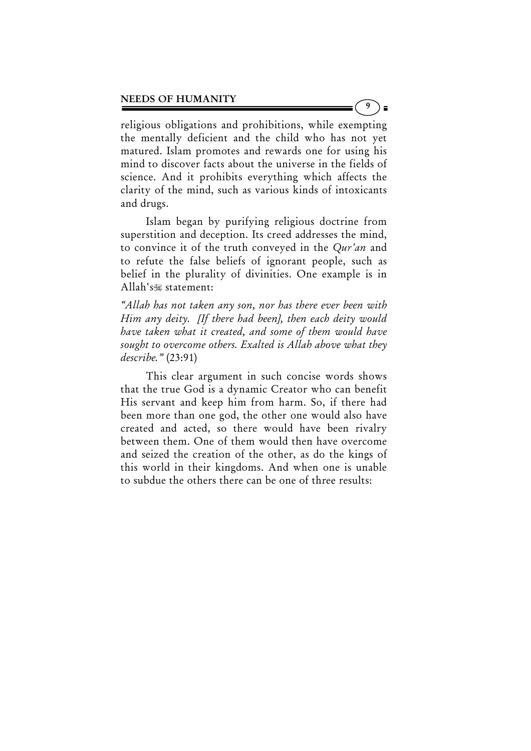religious obligations and prohibitions, while exempting the mentally deficient and the child who has not yet matured. Islam promotes and rewards one for using his mind to discover facts about the universe in the fields of science. And it prohibits everything which affects the clarity of the mind, such as various kinds of intoxicants and drugs.

9

 $\blacksquare$ 

 Islam began by purifying religious doctrine from superstition and deception. Its creed addresses the mind, to convince it of the truth conveyed in the *Qur'an* and to refute the false beliefs of ignorant people, such as belief in the plurality of divinities. One example is in Allah's statement:

*"Allah has not taken any son, nor has there ever been with Him any deity. [If there had been], then each deity would have taken what it created, and some of them would have sought to overcome others. Exalted is Allah above what they describe."* (23:91)

 This clear argument in such concise words shows that the true God is a dynamic Creator who can benefit His servant and keep him from harm. So, if there had been more than one god, the other one would also have created and acted, so there would have been rivalry between them. One of them would then have overcome and seized the creation of the other, as do the kings of this world in their kingdoms. And when one is unable to subdue the others there can be one of three results: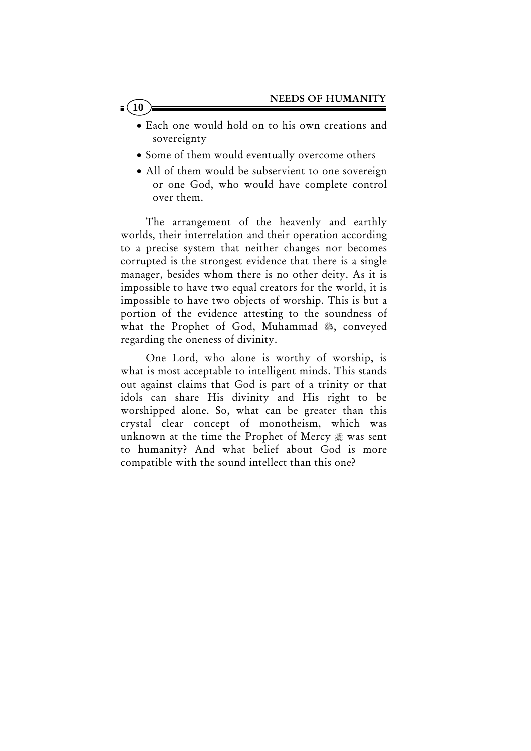- Each one would hold on to his own creations and sovereignty
- Some of them would eventually overcome others
- All of them would be subservient to one sovereign or one God, who would have complete control over them.

 The arrangement of the heavenly and earthly worlds, their interrelation and their operation according to a precise system that neither changes nor becomes corrupted is the strongest evidence that there is a single manager, besides whom there is no other deity. As it is impossible to have two equal creators for the world, it is impossible to have two objects of worship. This is but a portion of the evidence attesting to the soundness of what the Prophet of God, Muhammad , conveyed regarding the oneness of divinity.

 One Lord, who alone is worthy of worship, is what is most acceptable to intelligent minds. This stands out against claims that God is part of a trinity or that idols can share His divinity and His right to be worshipped alone. So, what can be greater than this crystal clear concept of monotheism, which was unknown at the time the Prophet of Mercy  $\frac{1}{20}$  was sent to humanity? And what belief about God is more compatible with the sound intellect than this one?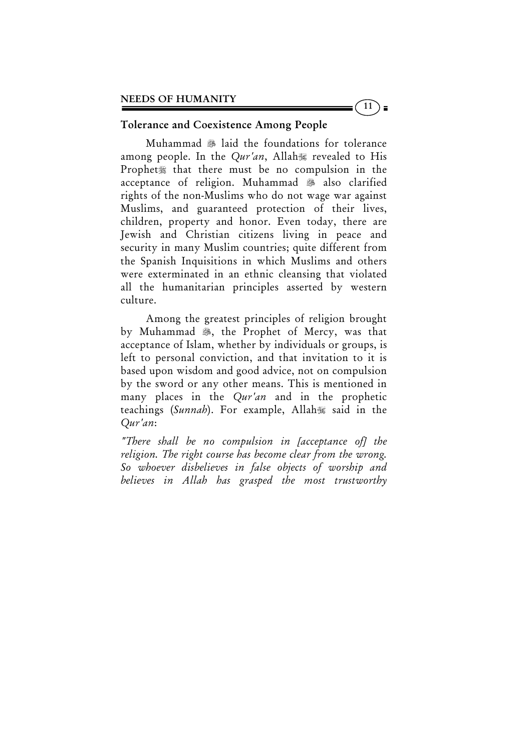## Tolerance and Coexistence Among People

Muhammad & laid the foundations for tolerance among people. In the *Qur'an*, Allah revealed to His Prophet. that there must be no compulsion in the acceptance of religion. Muhammad 3 also clarified rights of the non-Muslims who do not wage war against Muslims, and guaranteed protection of their lives, children, property and honor. Even today, there are Jewish and Christian citizens living in peace and security in many Muslim countries; quite different from the Spanish Inquisitions in which Muslims and others were exterminated in an ethnic cleansing that violated all the humanitarian principles asserted by western culture.

 Among the greatest principles of religion brought by Muhammad . the Prophet of Mercy, was that acceptance of Islam, whether by individuals or groups, is left to personal conviction, and that invitation to it is based upon wisdom and good advice, not on compulsion by the sword or any other means. This is mentioned in many places in the *Qur'an* and in the prophetic teachings (*Sunnah*). For example, Allah said in the *Qur'an*:

*"There shall be no compulsion in [acceptance of] the religion. The right course has become clear from the wrong. So whoever disbelieves in false objects of worship and believes in Allah has grasped the most trustworthy* 

 $\left(11\right)$  =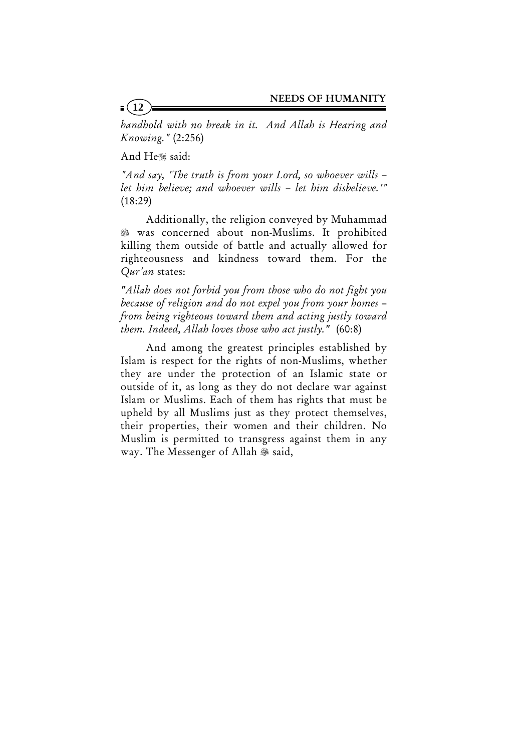*handhold with no break in it. And Allah is Hearing and Knowing."* (2:256)

And He,said:

*"And say, 'The truth is from your Lord, so whoever wills – let him believe; and whoever wills – let him disbelieve.'"*  $(18:29)$ 

 Additionally, the religion conveyed by Muhammad was concerned about non-Muslims. It prohibited killing them outside of battle and actually allowed for righteousness and kindness toward them. For the *Qur'an* states:

*"Allah does not forbid you from those who do not fight you because of religion and do not expel you from your homes – from being righteous toward them and acting justly toward them. Indeed, Allah loves those who act justly."* (60:8)

 And among the greatest principles established by Islam is respect for the rights of non-Muslims, whether they are under the protection of an Islamic state or outside of it, as long as they do not declare war against Islam or Muslims. Each of them has rights that must be upheld by all Muslims just as they protect themselves, their properties, their women and their children. No Muslim is permitted to transgress against them in any way. The Messenger of Allah  $\mathscr B$  said,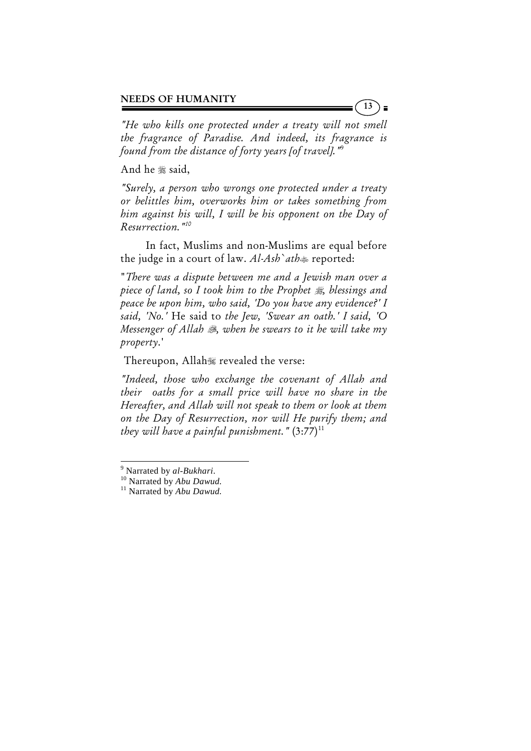*"He who kills one protected under a treaty will not smell the fragrance of Paradise. And indeed, its fragrance is found from the distance of forty years [of travel]."*<sup>9</sup>

And he \$\$ said,

*"Surely, a person who wrongs one protected under a treaty or belittles him, overworks him or takes something from him against his will, I will be his opponent on the Day of Resurrection."10*

 In fact, Muslims and non-Muslims are equal before the judge in a court of law. *Al-Ash`ath* reported:

"*There was a dispute between me and a Jewish man over a piece of land, so I took him to the Prophet , blessings and peace be upon him, who said, 'Do you have any evidence?' I said, 'No.'* He said to *the Jew, 'Swear an oath.' I said, 'O Messenger of Allah , when he swears to it he will take my property*.'

Thereupon, Allah revealed the verse:

*"Indeed, those who exchange the covenant of Allah and their oaths for a small price will have no share in the Hereafter, and Allah will not speak to them or look at them on the Day of Resurrection, nor will He purify them; and they will have a painful punishment."*  $(3:77)^{11}$ 

 $\overline{a}$ 

 $9$  Narrated by  $al-Bukhari$ .

<sup>&</sup>lt;sup>10</sup> Narrated by *Abu Dawud*.<br><sup>11</sup> Narrated by *Abu Dawud*.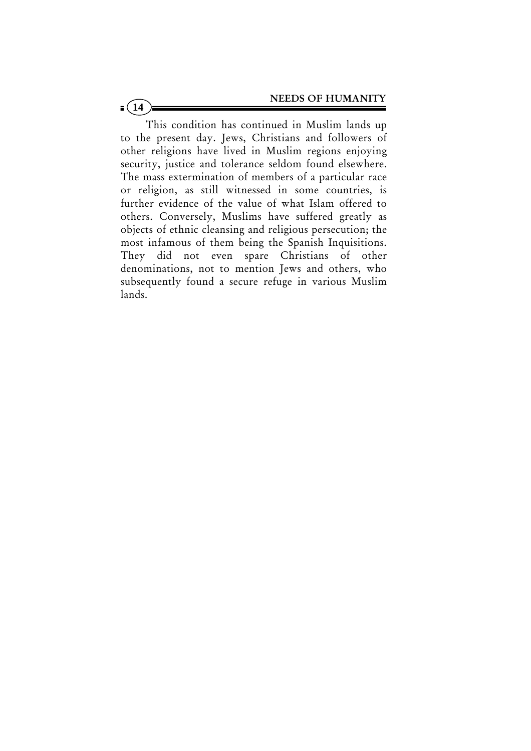This condition has continued in Muslim lands up to the present day. Jews, Christians and followers of other religions have lived in Muslim regions enjoying security, justice and tolerance seldom found elsewhere. The mass extermination of members of a particular race or religion, as still witnessed in some countries, is further evidence of the value of what Islam offered to others. Conversely, Muslims have suffered greatly as objects of ethnic cleansing and religious persecution; the most infamous of them being the Spanish Inquisitions. They did not even spare Christians of other denominations, not to mention Jews and others, who subsequently found a secure refuge in various Muslim lands.

 $(14)$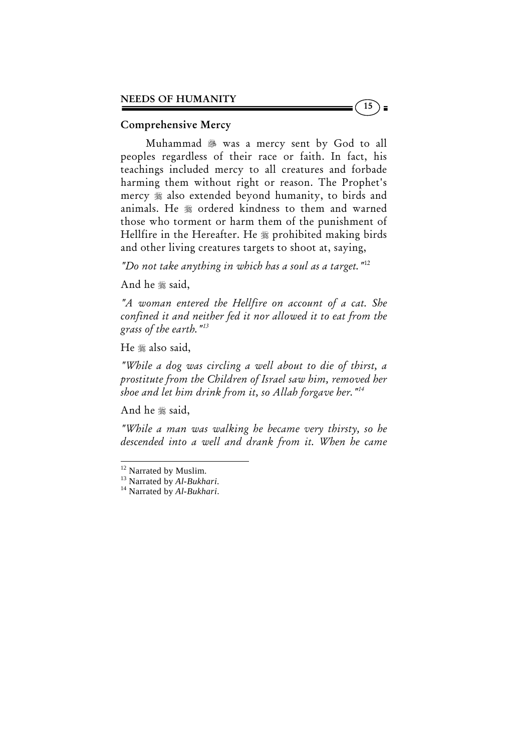#### Comprehensive Mercy

Muhammad 38 was a mercy sent by God to all peoples regardless of their race or faith. In fact, his teachings included mercy to all creatures and forbade harming them without right or reason. The Prophet's mercy  $\frac{1}{20}$  also extended beyond humanity, to birds and animals. He  $*$  ordered kindness to them and warned those who torment or harm them of the punishment of Hellfire in the Hereafter. He # prohibited making birds and other living creatures targets to shoot at, saying,

 $15$ )

*"Do not take anything in which has a soul as a target."*12

And he .said,

*"A woman entered the Hellfire on account of a cat. She confined it and neither fed it nor allowed it to eat from the grass of the earth."13*

He  $*$  also said,

*"While a dog was circling a well about to die of thirst, a prostitute from the Children of Israel saw him, removed her shoe and let him drink from it, so Allah forgave her."14* 

And he  $*$  said,

 $\overline{a}$ 

*"While a man was walking he became very thirsty, so he descended into a well and drank from it. When he came* 

<sup>&</sup>lt;sup>12</sup> Narrated by Muslim.

<sup>13</sup> Narrated by *Al-Bukhari*. 14 Narrated by *Al-Bukhari*.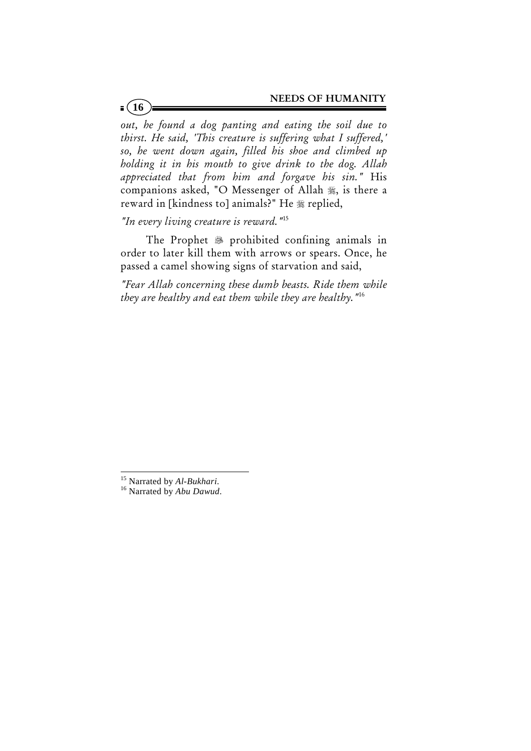*out, he found a dog panting and eating the soil due to thirst. He said, 'This creature is suffering what I suffered,' so, he went down again, filled his shoe and climbed up holding it in his mouth to give drink to the dog. Allah appreciated that from him and forgave his sin."* His companions asked, "O Messenger of Allah , is there a reward in [kindness to] animals?" He  $*$  replied,

*"In every living creature is reward."*<sup>15</sup>

The Prophet <sup>\$</sup> prohibited confining animals in order to later kill them with arrows or spears. Once, he passed a camel showing signs of starvation and said,

*"Fear Allah concerning these dumb beasts. Ride them while they are healthy and eat them while they are healthy."*<sup>16</sup>

<sup>&</sup>lt;sup>15</sup> Narrated by Al-Bukhari.

<sup>&</sup>lt;sup>16</sup> Narrated by *Abu Dawud*.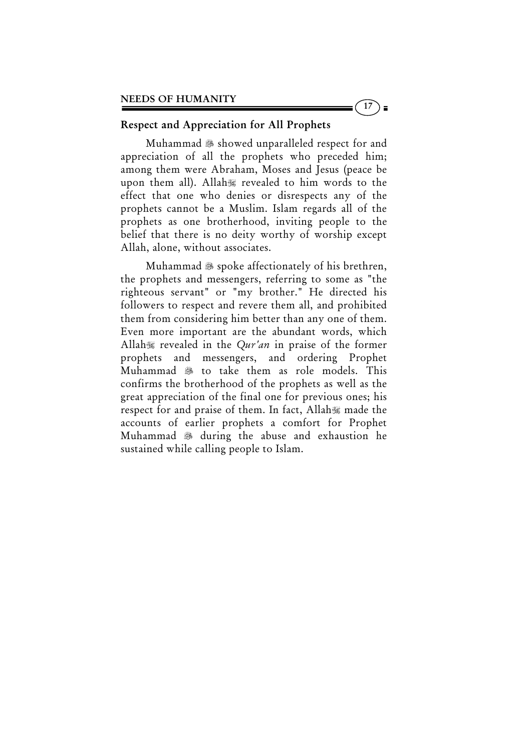# Respect and Appreciation for All Prophets

Muhammad  $\ddot{\text{m}}$  showed unparalleled respect for and appreciation of all the prophets who preceded him; among them were Abraham, Moses and Jesus (peace be upon them all). Allah revealed to him words to the effect that one who denies or disrespects any of the prophets cannot be a Muslim. Islam regards all of the prophets as one brotherhood, inviting people to the belief that there is no deity worthy of worship except Allah, alone, without associates.

 $17$ 

) ≡

Muhammad  $\ast$  spoke affectionately of his brethren, the prophets and messengers, referring to some as "the righteous servant" or "my brother." He directed his followers to respect and revere them all, and prohibited them from considering him better than any one of them. Even more important are the abundant words, which Allah revealed in the *Qur'an* in praise of the former prophets and messengers, and ordering Prophet Muhammad <sup>3</sup> to take them as role models. This confirms the brotherhood of the prophets as well as the great appreciation of the final one for previous ones; his respect for and praise of them. In fact, Allah made the accounts of earlier prophets a comfort for Prophet Muhammad  $\frac{1}{200}$  during the abuse and exhaustion he sustained while calling people to Islam.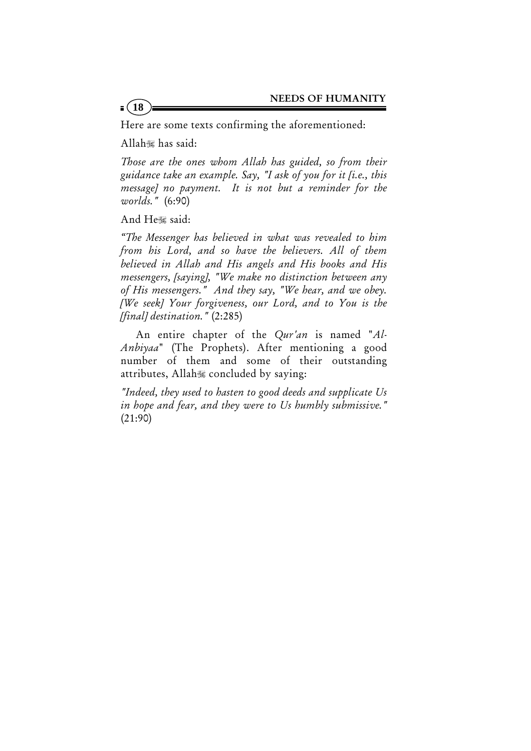Here are some texts confirming the aforementioned:

Allah has said:

 $\frac{1}{2}$ (18)

*Those are the ones whom Allah has guided, so from their guidance take an example. Say, "I ask of you for it [i.e., this message] no payment. It is not but a reminder for the worlds."* (6:90)

And He,said:

*"The Messenger has believed in what was revealed to him from his Lord, and so have the believers. All of them believed in Allah and His angels and His books and His messengers, [saying], "We make no distinction between any of His messengers." And they say, "We hear, and we obey. [We seek] Your forgiveness, our Lord, and to You is the [final] destination."* (2:285)

 An entire chapter of the *Qur'an* is named "*Al-Anbiyaa*" (The Prophets). After mentioning a good number of them and some of their outstanding attributes, Allah concluded by saying:

*"Indeed, they used to hasten to good deeds and supplicate Us in hope and fear, and they were to Us humbly submissive."* (21:90)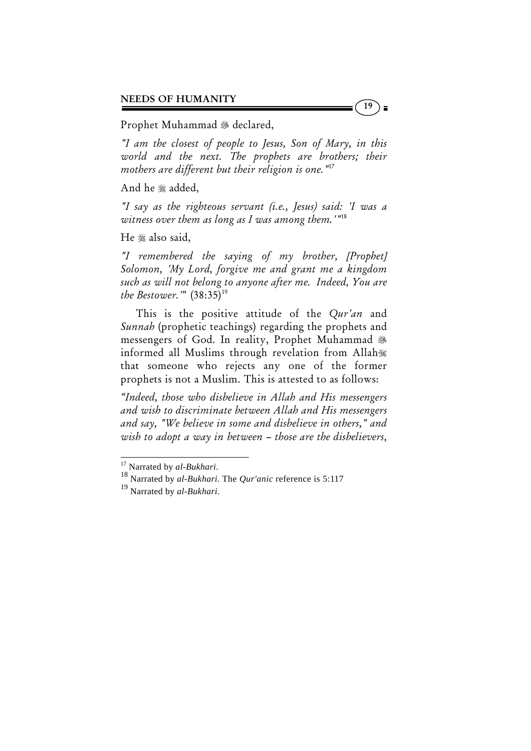#### Prophet Muhammad & declared,

*"I am the closest of people to Jesus, Son of Mary, in this world and the next. The prophets are brothers; their mothers are different but their religion is one."*17

19

) ≡

And he  $*$  added,

*"I say as the righteous servant (i.e., Jesus) said: 'I was a witness over them as long as I was among them.'"*18

He  $*$  also said,

*"I remembered the saying of my brother, [Prophet] Solomon, 'My Lord, forgive me and grant me a kingdom such as will not belong to anyone after me. Indeed, You are the Bestower.*'" (38:35)<sup>19</sup>

 This is the positive attitude of the *Qur'an* and *Sunnah* (prophetic teachings) regarding the prophets and messengers of God. In reality, Prophet Muhammad informed all Muslims through revelation from Allah that someone who rejects any one of the former prophets is not a Muslim. This is attested to as follows:

*"Indeed, those who disbelieve in Allah and His messengers and wish to discriminate between Allah and His messengers and say, "We believe in some and disbelieve in others," and wish to adopt a way in between – those are the disbelievers,* 

 $\overline{a}$ 

<sup>&</sup>lt;sup>17</sup> Narrated by *al-Bukhari*.<br><sup>18</sup> Narrated by *al-Bukhari*. The *Qur'anic* reference is 5:117

<sup>19</sup> Narrated by *al-Bukhari*.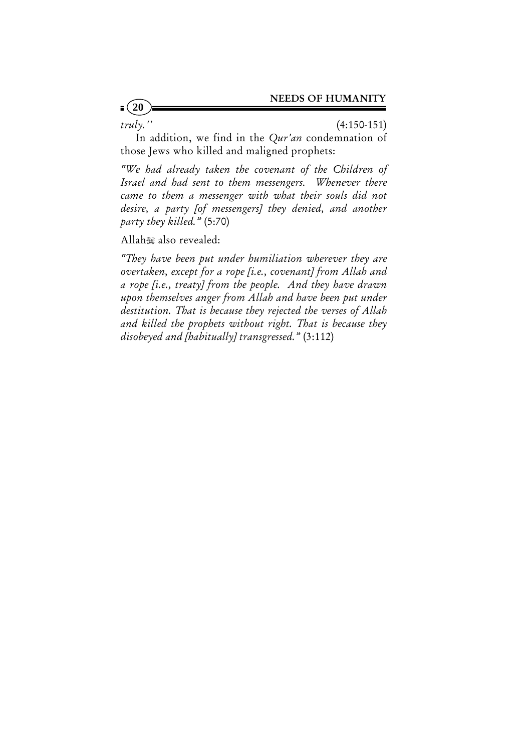$\frac{1}{2}$  (20

*truly.''* (4:150-151)

 In addition, we find in the *Qur'an* condemnation of those Jews who killed and maligned prophets:

*"We had already taken the covenant of the Children of Israel and had sent to them messengers. Whenever there came to them a messenger with what their souls did not desire, a party [of messengers] they denied, and another party they killed."* (5:70)

Allah also revealed:

*"They have been put under humiliation wherever they are overtaken, except for a rope [i.e., covenant] from Allah and a rope [i.e., treaty] from the people. And they have drawn upon themselves anger from Allah and have been put under destitution. That is because they rejected the verses of Allah and killed the prophets without right. That is because they disobeyed and [habitually] transgressed."* (3:112)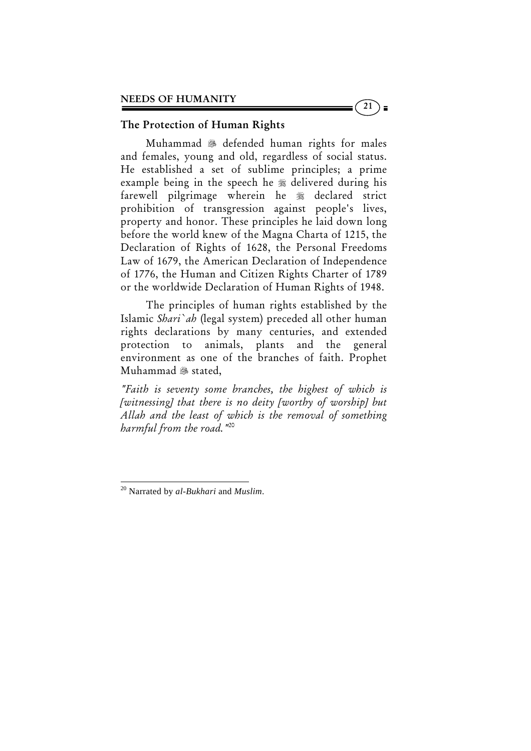## The Protection of Human Rights

 Muhammad defended human rights for males and females, young and old, regardless of social status. He established a set of sublime principles; a prime example being in the speech he  $*$  delivered during his farewell pilgrimage wherein he  $\frac{1}{20}$  declared strict prohibition of transgression against people's lives, property and honor. These principles he laid down long before the world knew of the Magna Charta of 1215, the Declaration of Rights of 1628, the Personal Freedoms Law of 1679, the American Declaration of Independence of 1776, the Human and Citizen Rights Charter of 1789 or the worldwide Declaration of Human Rights of 1948.

 $\left(21\right)$  =

 The principles of human rights established by the Islamic *Shari`ah* (legal system) preceded all other human rights declarations by many centuries, and extended protection to animals, plants and the general environment as one of the branches of faith. Prophet Muhammad & stated,

*"Faith is seventy some branches, the highest of which is [witnessing] that there is no deity [worthy of worship] but Allah and the least of which is the removal of something harmful from the road."*20

<sup>20</sup> Narrated by *al-Bukhari* and *Muslim*.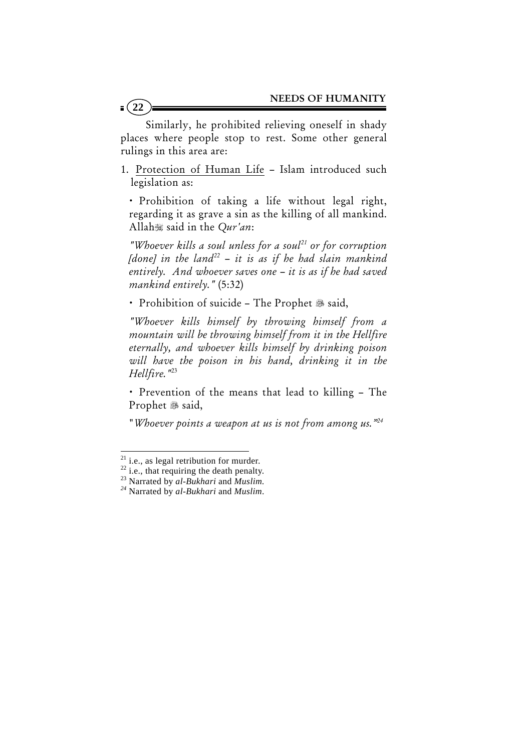Similarly, he prohibited relieving oneself in shady places where people stop to rest. Some other general rulings in this area are:

1. Protection of Human Life – Islam introduced such legislation as:

x Prohibition of taking a life without legal right, regarding it as grave a sin as the killing of all mankind. Allah said in the *Qur'an*:

*"Whoever kills a soul unless for a soul21 or for corruption [done]* in the land<sup>22</sup> – it is as if he had slain mankind *entirely. And whoever saves one – it is as if he had saved mankind entirely."* (5:32)

· Prohibition of suicide - The Prophet & said,

*"Whoever kills himself by throwing himself from a mountain will be throwing himself from it in the Hellfire eternally, and whoever kills himself by drinking poison will have the poison in his hand, drinking it in the Hellfire."*<sup>23</sup>

• Prevention of the means that lead to killing – The Prophet 3 said,

"*Whoever points a weapon at us is not from among us."24*

 $21$  i.e., as legal retribution for murder.

 $^{22}$  i.e., that requiring the death penalty.

<sup>23</sup> Narrated by *al-Bukhari* and *Muslim. 24* Narrated by *al-Bukhari* and *Muslim*.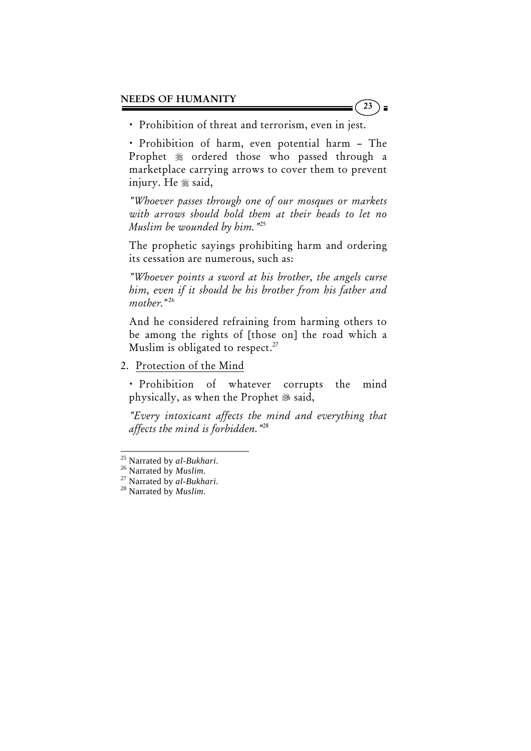• Prohibition of threat and terrorism, even in jest.

x Prohibition of harm, even potential harm – The Prophet  $*$  ordered those who passed through a marketplace carrying arrows to cover them to prevent injury. He  $*$  said,

 $23$ 

*"Whoever passes through one of our mosques or markets with arrows should hold them at their heads to let no Muslim be wounded by him."*25

The prophetic sayings prohibiting harm and ordering its cessation are numerous, such as:

*"Whoever points a sword at his brother, the angels curse him, even if it should be his brother from his father and mother.*"26

And he considered refraining from harming others to be among the rights of [those on] the road which a Muslim is obligated to respect.<sup>27</sup>

2. Protection of the Mind

x Prohibition of whatever corrupts the mind physically, as when the Prophet  $\mathscr B$  said,

*"Every intoxicant affects the mind and everything that affects the mind is forbidden."*28

<sup>&</sup>lt;sup>25</sup> Narrated by al-Bukhari.

<sup>25</sup> Narrated by *al-Bukhari*. 26 Narrated by *Muslim.* 27 Narrated by *al-Bukhari.* 28 Narrated by *Muslim*.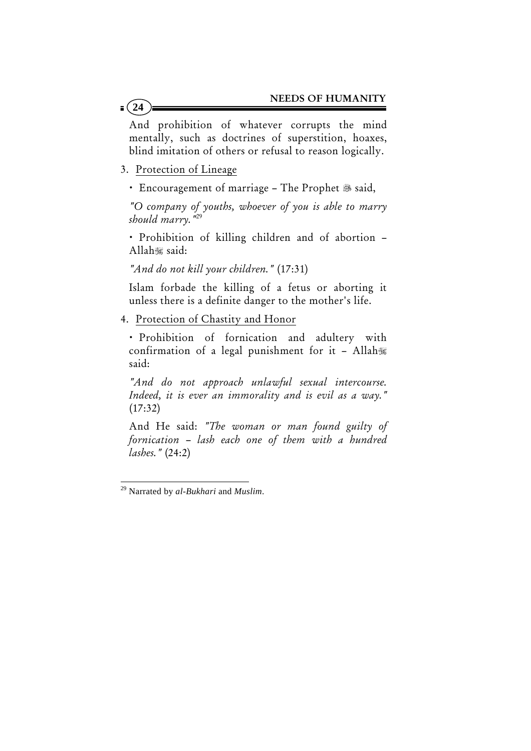And prohibition of whatever corrupts the mind mentally, such as doctrines of superstition, hoaxes, blind imitation of others or refusal to reason logically.

- 3. Protection of Lineage
	- Encouragement of marriage The Prophet & said,

*"O company of youths, whoever of you is able to marry should marry."*29

• Prohibition of killing children and of abortion -Allah said:

*"And do not kill your children."* (17:31)

Islam forbade the killing of a fetus or aborting it unless there is a definite danger to the mother's life.

4. Protection of Chastity and Honor

x Prohibition of fornication and adultery with confirmation of a legal punishment for it – Allah said:

*"And do not approach unlawful sexual intercourse. Indeed, it is ever an immorality and is evil as a way."*  $(17:32)$ 

And He said: *"The woman or man found guilty of fornication – lash each one of them with a hundred lashes."* (24:2)

 29 Narrated by *al-Bukhari* and *Muslim*.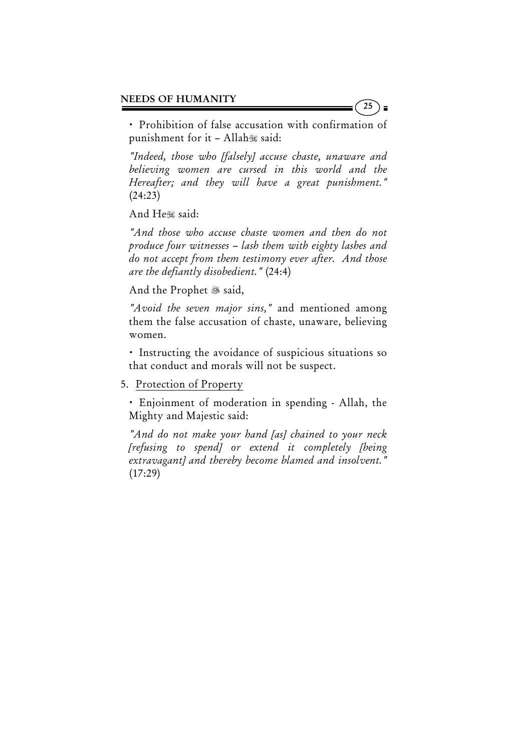• Prohibition of false accusation with confirmation of punishment for it  $-$  Allah $\mathcal$  said:

*"Indeed, those who [falsely] accuse chaste, unaware and believing women are cursed in this world and the Hereafter; and they will have a great punishment."* (24:23)

And He said:

*"And those who accuse chaste women and then do not produce four witnesses – lash them with eighty lashes and do not accept from them testimony ever after. And those are the defiantly disobedient."* (24:4)

And the Prophet & said,

*"Avoid the seven major sins,"* and mentioned among them the false accusation of chaste, unaware, believing women.

x Instructing the avoidance of suspicious situations so that conduct and morals will not be suspect.

5. Protection of Property

• Enjoinment of moderation in spending - Allah, the Mighty and Majestic said:

*"And do not make your hand [as] chained to your neck [refusing to spend] or extend it completely [being extravagant] and thereby become blamed and insolvent."*  $(17:29)$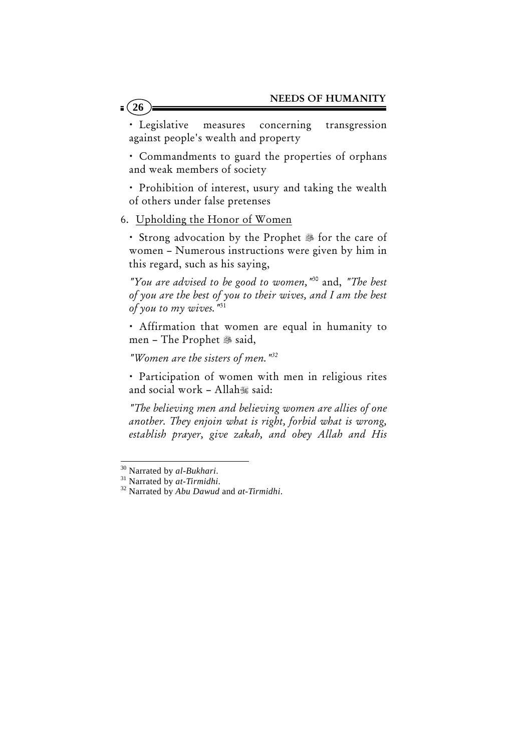· Legislative measures concerning transgression against people's wealth and property

• Commandments to guard the properties of orphans and weak members of society

• Prohibition of interest, usury and taking the wealth of others under false pretenses

6. Upholding the Honor of Women

• Strong advocation by the Prophet <sup>38</sup> for the care of women – Numerous instructions were given by him in this regard, such as his saying,

*"You are advised to be good to women,"*30 and, *"The best of you are the best of you to their wives, and I am the best of you to my wives."*<sup>31</sup>

· Affirmation that women are equal in humanity to men - The Prophet & said,

*"Women are the sisters of men."32*

x Participation of women with men in religious rites and social work - Allah $\mathcal$  said:

*"The believing men and believing women are allies of one another. They enjoin what is right, forbid what is wrong, establish prayer, give zakah, and obey Allah and His* 

 $\overline{a}$ 

<sup>30</sup> Narrated by *al-Bukhari*. 31 Narrated by *at-Tirmidhi*. 32 Narrated by *Abu Dawud* and *at-Tirmidhi*.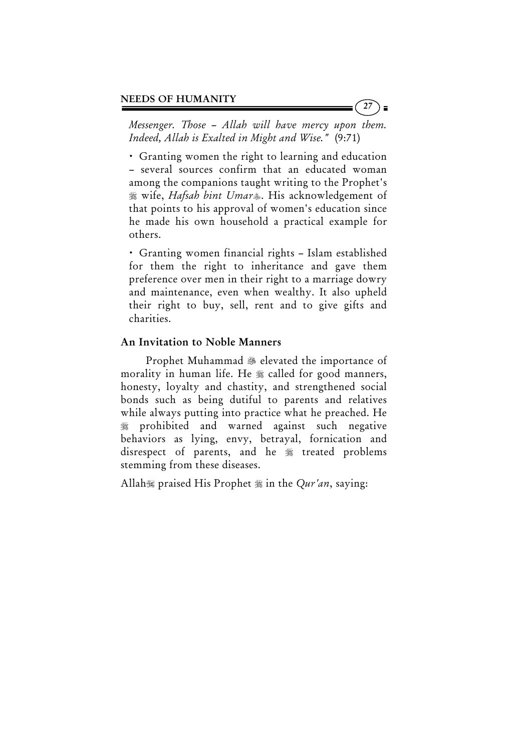*Messenger. Those – Allah will have mercy upon them. Indeed, Allah is Exalted in Might and Wise."* (9:71)

x Granting women the right to learning and education – several sources confirm that an educated woman among the companions taught writing to the Prophet's wife, *Hafsah bint Umar*. His acknowledgement of that points to his approval of women's education since he made his own household a practical example for others.

x Granting women financial rights – Islam established for them the right to inheritance and gave them preference over men in their right to a marriage dowry and maintenance, even when wealthy. It also upheld their right to buy, sell, rent and to give gifts and charities.

### An Invitation to Noble Manners

Prophet Muhammad <sup>38</sup> elevated the importance of morality in human life. He  $\frac{1}{20}$  called for good manners, honesty, loyalty and chastity, and strengthened social bonds such as being dutiful to parents and relatives while always putting into practice what he preached. He prohibited and warned against such negative behaviors as lying, envy, betrayal, fornication and disrespect of parents, and he  $\frac{1}{20}$  treated problems stemming from these diseases.

Allah is praised His Prophet  $\frac{1}{20}$  in the *Qur'an*, saying: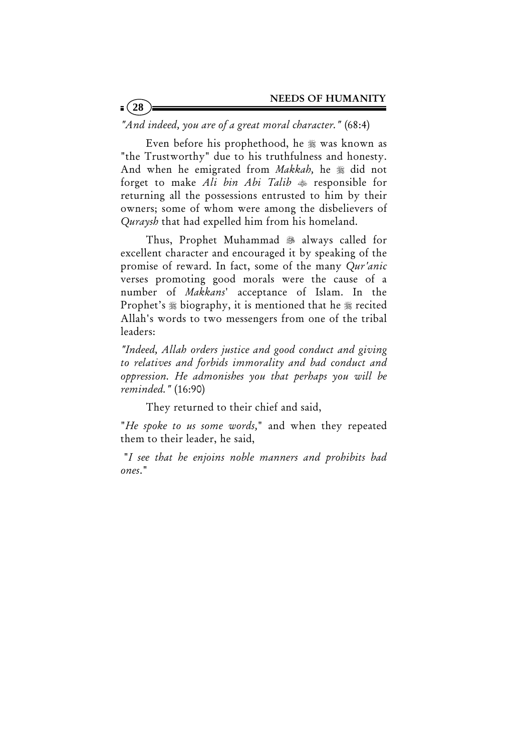*"And indeed, you are of a great moral character."* (68:4)

 $= (28)$ 

Even before his prophethood, he  $\frac{1}{20}$  was known as "the Trustworthy" due to his truthfulness and honesty. And when he emigrated from *Makkah*, he  $\frac{1}{20}$  did not forget to make *Ali bin Abi Talib* responsible for returning all the possessions entrusted to him by their owners; some of whom were among the disbelievers of *Quraysh* that had expelled him from his homeland.

 Thus, Prophet Muhammad always called for excellent character and encouraged it by speaking of the promise of reward. In fact, some of the many *Qur'anic*  verses promoting good morals were the cause of a number of *Makkans*' acceptance of Islam. In the Prophet's  $*$  biography, it is mentioned that he  $*$  recited Allah's words to two messengers from one of the tribal leaders:

*"Indeed, Allah orders justice and good conduct and giving to relatives and forbids immorality and bad conduct and oppression. He admonishes you that perhaps you will be reminded."* (16:90)

They returned to their chief and said,

"*He spoke to us some words,*" and when they repeated them to their leader, he said,

 "*I see that he enjoins noble manners and prohibits bad ones*."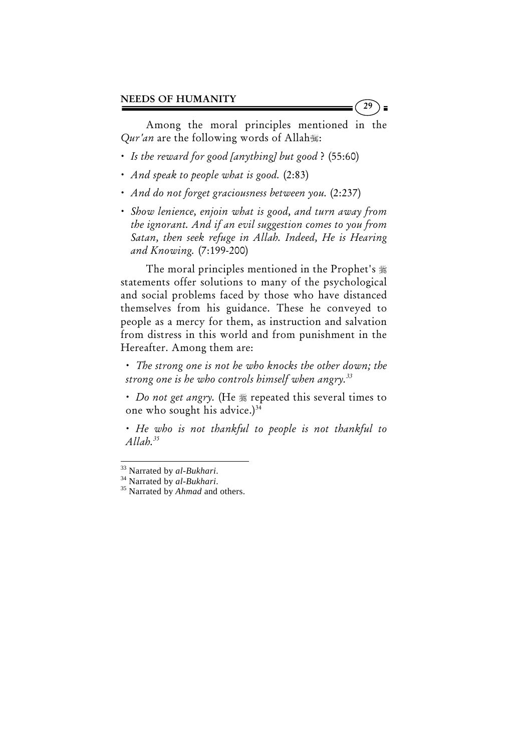Among the moral principles mentioned in the *Qur'an* are the following words of Allah:

29

- x *Is the reward for good [anything] but good* ? (55:60)
- x *And speak to people what is good.* (2:83)
- x *And do not forget graciousness between you.* (2:237)
- x *Show lenience, enjoin what is good, and turn away from the ignorant. And if an evil suggestion comes to you from Satan, then seek refuge in Allah. Indeed, He is Hearing and Knowing.* (7:199-200)

 The moral principles mentioned in the Prophet's statements offer solutions to many of the psychological and social problems faced by those who have distanced themselves from his guidance. These he conveyed to people as a mercy for them, as instruction and salvation from distress in this world and from punishment in the Hereafter. Among them are:

x *The strong one is not he who knocks the other down; the strong one is he who controls himself when angry.33*

• *Do not get angry*. (He  $*$  repeated this several times to one who sought his advice.) $34$ 

x *He who is not thankful to people is not thankful to Allah.35*

 $\overline{a}$ 

<sup>33</sup> Narrated by *al-Bukhari*. 34 Narrated by *al-Bukhari*. 35 Narrated by *Ahmad* and others.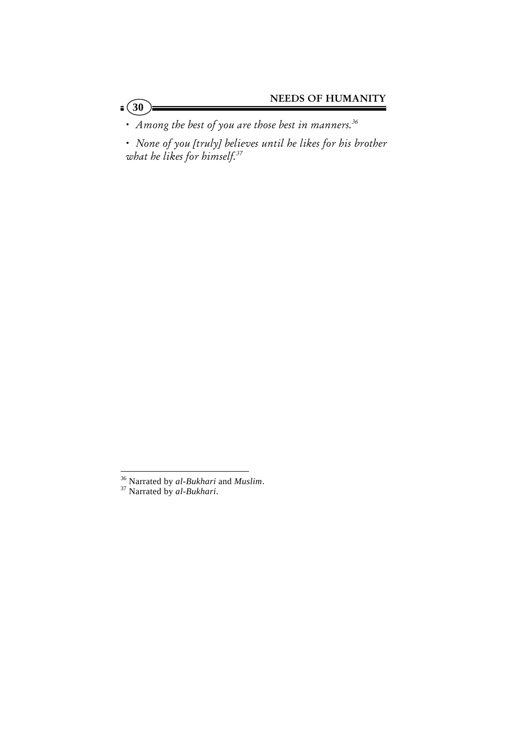x *Among the best of you are those best in manners.36*

 $\frac{1}{2}$  (30)

x *None of you [truly] believes until he likes for his brother what he likes for himself.37*

<sup>36</sup> Narrated by *al-Bukhari* and *Muslim*. 37 Narrated by *al-Bukhari*.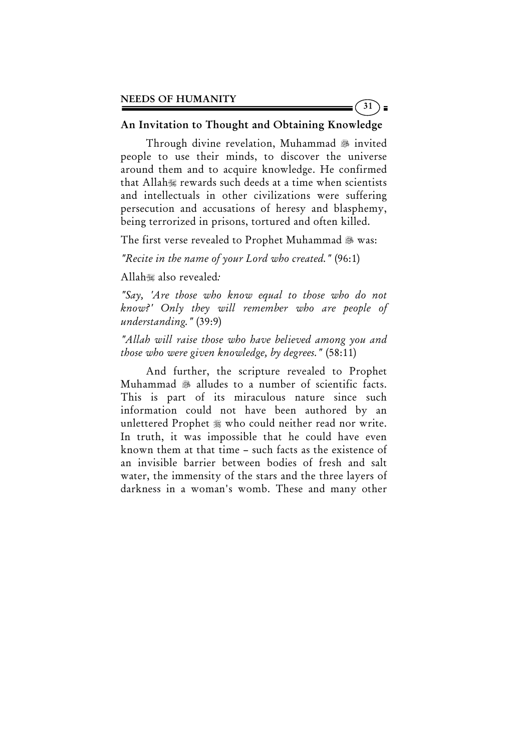#### An Invitation to Thought and Obtaining Knowledge

31

Through divine revelation, Muhammad 3 invited people to use their minds, to discover the universe around them and to acquire knowledge. He confirmed that Allah rewards such deeds at a time when scientists and intellectuals in other civilizations were suffering persecution and accusations of heresy and blasphemy, being terrorized in prisons, tortured and often killed.

The first verse revealed to Prophet Muhammad 3 was:

*"Recite in the name of your Lord who created."* (96:1)

Allah also revealed*:* 

*"Say, 'Are those who know equal to those who do not know?' Only they will remember who are people of understanding."* (39:9)

*"Allah will raise those who have believed among you and those who were given knowledge, by degrees."* (58:11)

 And further, the scripture revealed to Prophet Muhammad  $\frac{1}{200}$  alludes to a number of scientific facts. This is part of its miraculous nature since such information could not have been authored by an unlettered Prophet  $\frac{1}{20}$  who could neither read nor write. In truth, it was impossible that he could have even known them at that time – such facts as the existence of an invisible barrier between bodies of fresh and salt water, the immensity of the stars and the three layers of darkness in a woman's womb. These and many other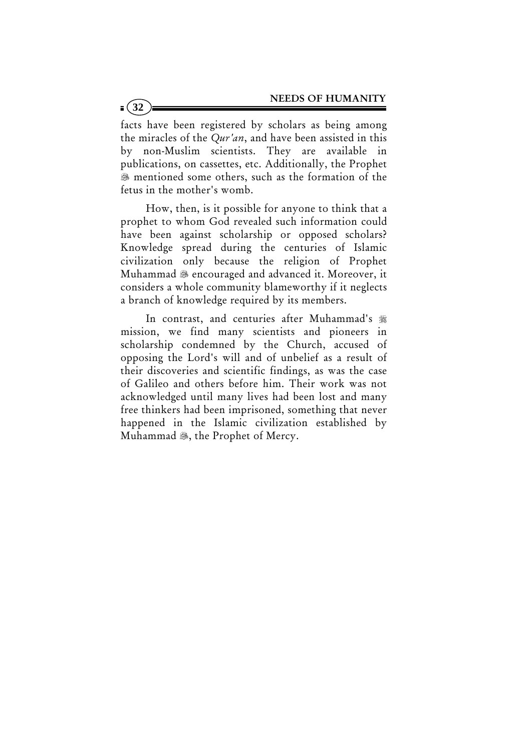facts have been registered by scholars as being among the miracles of the *Qur'an*, and have been assisted in this by non-Muslim scientists. They are available in publications, on cassettes, etc. Additionally, the Prophet mentioned some others, such as the formation of the fetus in the mother's womb.

 How, then, is it possible for anyone to think that a prophet to whom God revealed such information could have been against scholarship or opposed scholars? Knowledge spread during the centuries of Islamic civilization only because the religion of Prophet Muhammad  $\mathcal{L}$  encouraged and advanced it. Moreover, it considers a whole community blameworthy if it neglects a branch of knowledge required by its members.

In contrast, and centuries after Muhammad's  $#$ mission, we find many scientists and pioneers in scholarship condemned by the Church, accused of opposing the Lord's will and of unbelief as a result of their discoveries and scientific findings, as was the case of Galileo and others before him. Their work was not acknowledged until many lives had been lost and many free thinkers had been imprisoned, something that never happened in the Islamic civilization established by Muhammad . the Prophet of Mercy.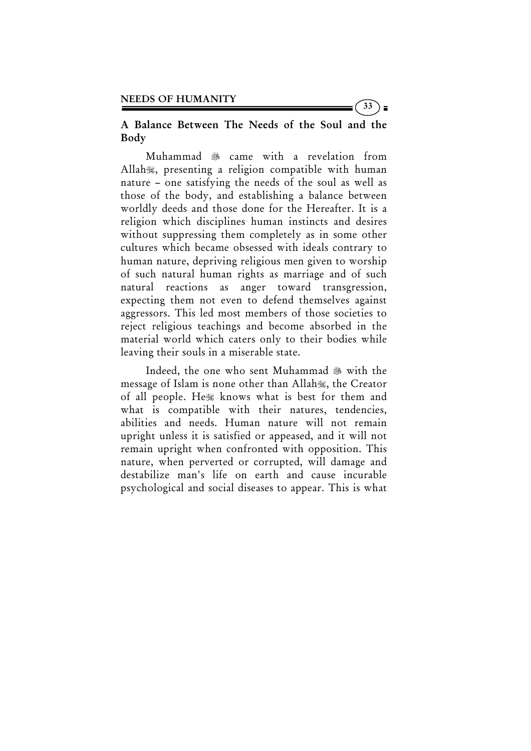# A Balance Between The Needs of the Soul and the Body

33

 Muhammad came with a revelation from Allah, presenting a religion compatible with human nature – one satisfying the needs of the soul as well as those of the body, and establishing a balance between worldly deeds and those done for the Hereafter. It is a religion which disciplines human instincts and desires without suppressing them completely as in some other cultures which became obsessed with ideals contrary to human nature, depriving religious men given to worship of such natural human rights as marriage and of such natural reactions as anger toward transgression, expecting them not even to defend themselves against aggressors. This led most members of those societies to reject religious teachings and become absorbed in the material world which caters only to their bodies while leaving their souls in a miserable state.

Indeed, the one who sent Muhammad 3 with the message of Islam is none other than Allah, the Creator of all people. He knows what is best for them and what is compatible with their natures, tendencies, abilities and needs. Human nature will not remain upright unless it is satisfied or appeased, and it will not remain upright when confronted with opposition. This nature, when perverted or corrupted, will damage and destabilize man's life on earth and cause incurable psychological and social diseases to appear. This is what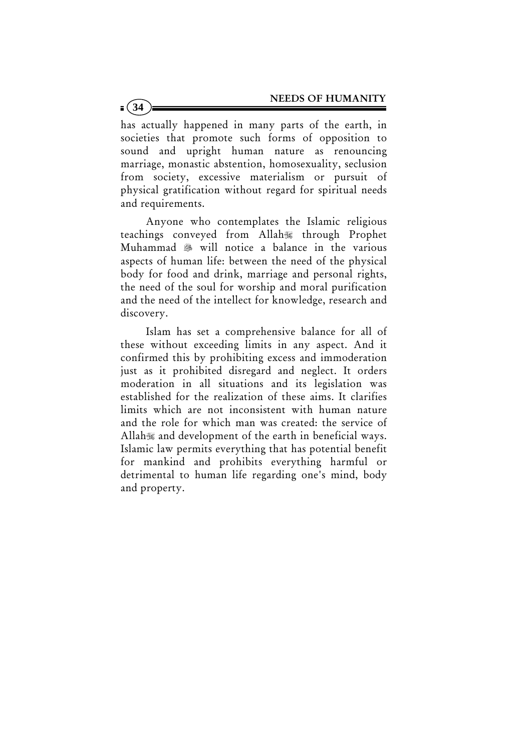has actually happened in many parts of the earth, in societies that promote such forms of opposition to sound and upright human nature as renouncing marriage, monastic abstention, homosexuality, seclusion from society, excessive materialism or pursuit of physical gratification without regard for spiritual needs and requirements.

**34**

 Anyone who contemplates the Islamic religious teachings conveyed from Allah through Prophet Muhammad  $\ast$  will notice a balance in the various aspects of human life: between the need of the physical body for food and drink, marriage and personal rights, the need of the soul for worship and moral purification and the need of the intellect for knowledge, research and discovery.

 Islam has set a comprehensive balance for all of these without exceeding limits in any aspect. And it confirmed this by prohibiting excess and immoderation just as it prohibited disregard and neglect. It orders moderation in all situations and its legislation was established for the realization of these aims. It clarifies limits which are not inconsistent with human nature and the role for which man was created: the service of Allah and development of the earth in beneficial ways. Islamic law permits everything that has potential benefit for mankind and prohibits everything harmful or detrimental to human life regarding one's mind, body and property.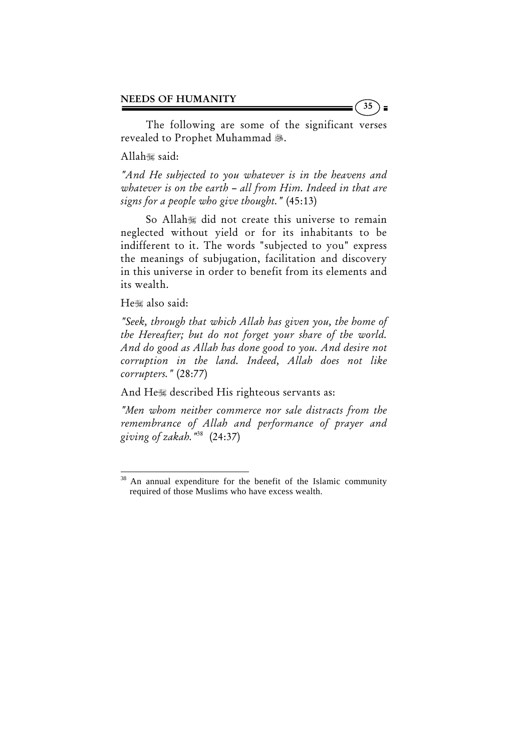The following are some of the significant verses revealed to Prophet Muhammad ...

Allah said:

*"And He subjected to you whatever is in the heavens and whatever is on the earth – all from Him. Indeed in that are signs for a people who give thought."* (45:13)

So Allah is did not create this universe to remain neglected without yield or for its inhabitants to be indifferent to it. The words "subjected to you" express the meanings of subjugation, facilitation and discovery in this universe in order to benefit from its elements and its wealth.

He also said:

*"Seek, through that which Allah has given you, the home of the Hereafter; but do not forget your share of the world. And do good as Allah has done good to you. And desire not corruption in the land. Indeed, Allah does not like corrupters."* (28:77)

And He described His righteous servants as:

*"Men whom neither commerce nor sale distracts from the remembrance of Allah and performance of prayer and giving of zakah."*38 (24:37)

 $38$  An annual expenditure for the benefit of the Islamic community required of those Muslims who have excess wealth.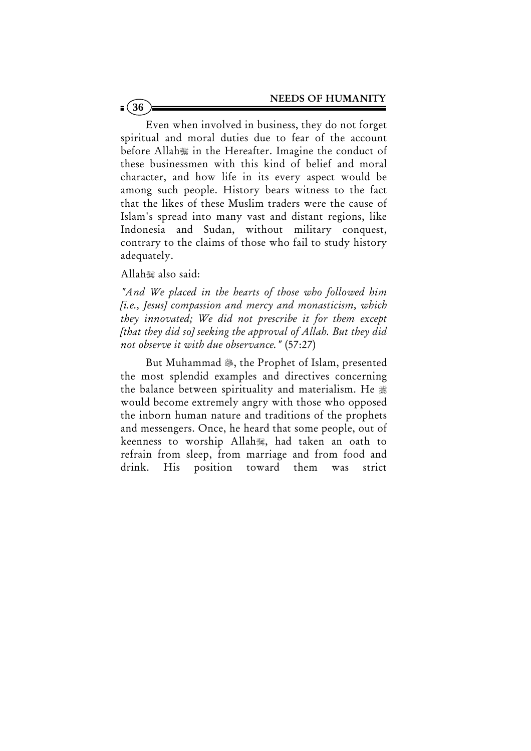Even when involved in business, they do not forget spiritual and moral duties due to fear of the account before Allah in the Hereafter. Imagine the conduct of these businessmen with this kind of belief and moral character, and how life in its every aspect would be among such people. History bears witness to the fact that the likes of these Muslim traders were the cause of Islam's spread into many vast and distant regions, like Indonesia and Sudan, without military conquest, contrary to the claims of those who fail to study history adequately.

Allah also said:

**36**

*"And We placed in the hearts of those who followed him [i.e., Jesus] compassion and mercy and monasticism, which they innovated; We did not prescribe it for them except [that they did so] seeking the approval of Allah. But they did not observe it with due observance."* (57:27)

But Muhammad , the Prophet of Islam, presented the most splendid examples and directives concerning the balance between spirituality and materialism. He would become extremely angry with those who opposed the inborn human nature and traditions of the prophets and messengers. Once, he heard that some people, out of keenness to worship Allah, had taken an oath to refrain from sleep, from marriage and from food and drink. His position toward them was strict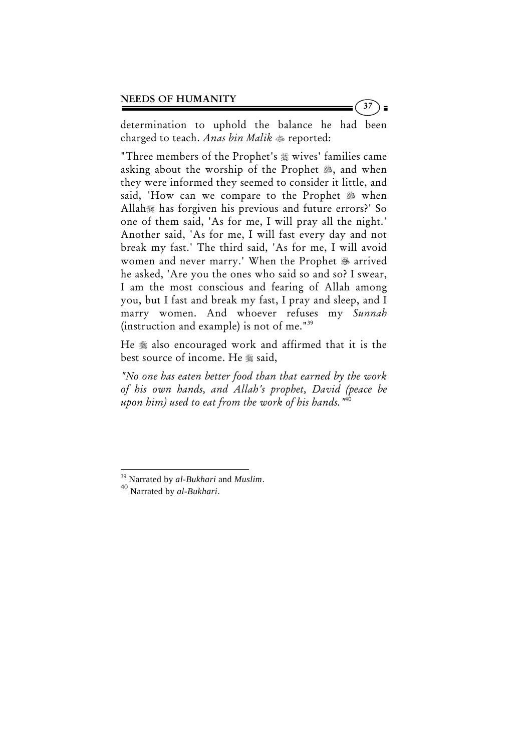determination to uphold the balance he had been charged to teach. *Anas bin Malik* reported:

"Three members of the Prophet's wives' families came asking about the worship of the Prophet  $\mathcal{L}$ , and when they were informed they seemed to consider it little, and said, 'How can we compare to the Prophet  $\mathscr B$  when Allah has forgiven his previous and future errors?' So one of them said, 'As for me, I will pray all the night.' Another said, 'As for me, I will fast every day and not break my fast.' The third said, 'As for me, I will avoid women and never marry.' When the Prophet & arrived he asked, 'Are you the ones who said so and so? I swear, I am the most conscious and fearing of Allah among you, but I fast and break my fast, I pray and sleep, and I marry women. And whoever refuses my *Sunnah* (instruction and example) is not of me."39

He  $*$  also encouraged work and affirmed that it is the best source of income. He \* said,

*"No one has eaten better food than that earned by the work of his own hands, and Allah's prophet, David (peace be upon him) used to eat from the work of his hands."*40

<sup>39</sup> Narrated by *al-Bukhari* and *Muslim*. 40 Narrated by *al-Bukhari*.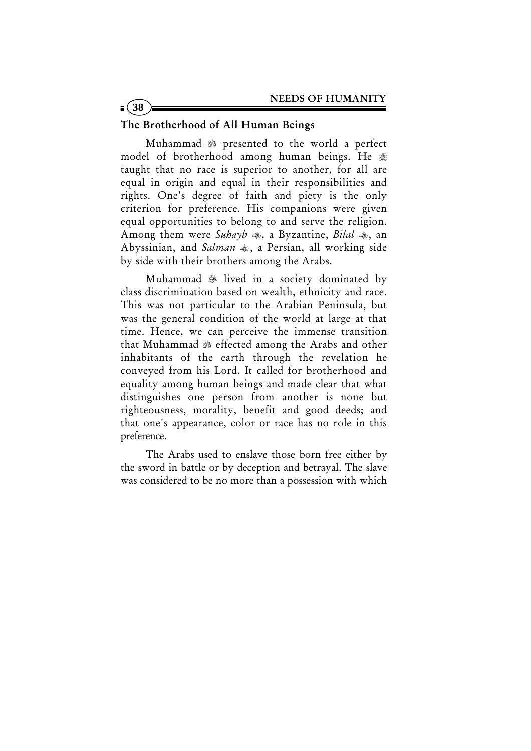#### The Brotherhood of All Human Beings

**38**

Muhammad 38 presented to the world a perfect model of brotherhood among human beings. He  $*$ taught that no race is superior to another, for all are equal in origin and equal in their responsibilities and rights. One's degree of faith and piety is the only criterion for preference. His companions were given equal opportunities to belong to and serve the religion. Among them were *Suhayb*  $\clubsuit$ , a Byzantine, *Bilal*  $\spadesuit$ , an Abyssinian, and *Salman*  $\ast$ , a Persian, all working side by side with their brothers among the Arabs.

Muhammad & lived in a society dominated by class discrimination based on wealth, ethnicity and race. This was not particular to the Arabian Peninsula, but was the general condition of the world at large at that time. Hence, we can perceive the immense transition that Muhammad & effected among the Arabs and other inhabitants of the earth through the revelation he conveyed from his Lord. It called for brotherhood and equality among human beings and made clear that what distinguishes one person from another is none but righteousness, morality, benefit and good deeds; and that one's appearance, color or race has no role in this preference.

 The Arabs used to enslave those born free either by the sword in battle or by deception and betrayal. The slave was considered to be no more than a possession with which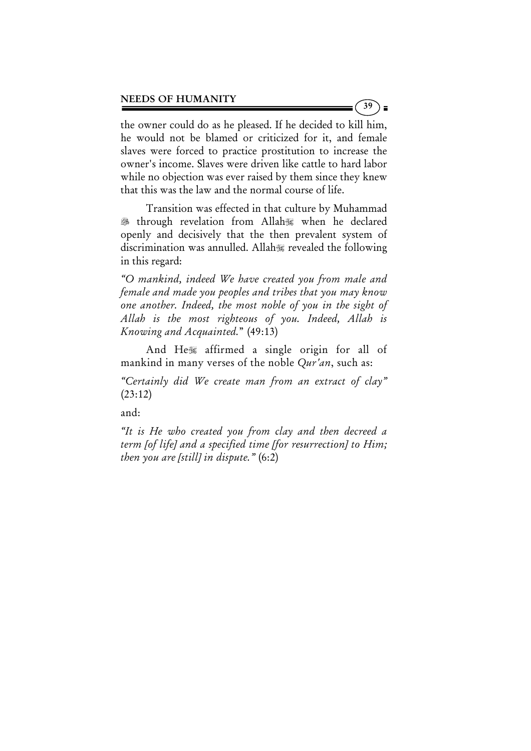the owner could do as he pleased. If he decided to kill him, he would not be blamed or criticized for it, and female slaves were forced to practice prostitution to increase the owner's income. Slaves were driven like cattle to hard labor while no objection was ever raised by them since they knew that this was the law and the normal course of life.

 Transition was effected in that culture by Muhammad through revelation from Allah when he declared openly and decisively that the then prevalent system of discrimination was annulled. Allah revealed the following in this regard:

*"O mankind, indeed We have created you from male and female and made you peoples and tribes that you may know one another. Indeed, the most noble of you in the sight of Allah is the most righteous of you. Indeed, Allah is Knowing and Acquainted.*" (49:13)

And He affirmed a single origin for all of mankind in many verses of the noble *Qur'an*, such as:

*"Certainly did We create man from an extract of clay"* (23:12)

and:

*"It is He who created you from clay and then decreed a term [of life] and a specified time [for resurrection] to Him; then you are [still] in dispute."* (6:2)

39 ) ≡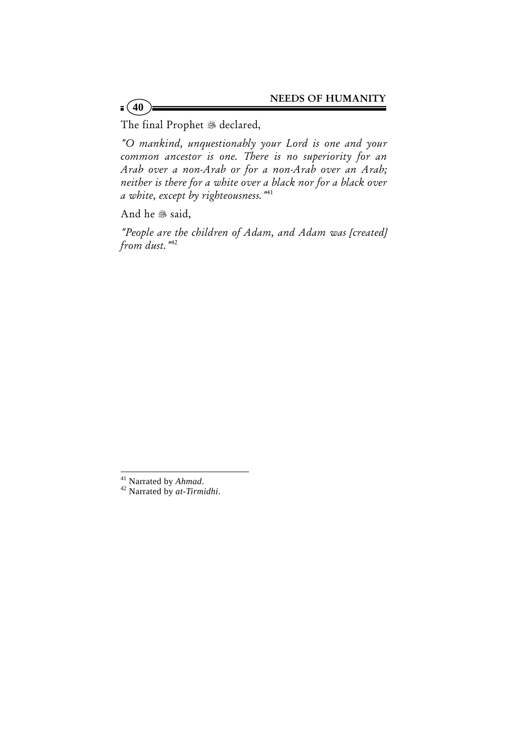The final Prophet & declared,

*"O mankind, unquestionably your Lord is one and your common ancestor is one. There is no superiority for an Arab over a non-Arab or for a non-Arab over an Arab; neither is there for a white over a black nor for a black over a white, except by righteousness."*41

And he & said,

 $=(40)$ 

*"People are the children of Adam, and Adam was [created] from dust."*<sup>42</sup>

<sup>41</sup> Narrated by *Ahmad*. 42 Narrated by *at-Tirmidhi*.